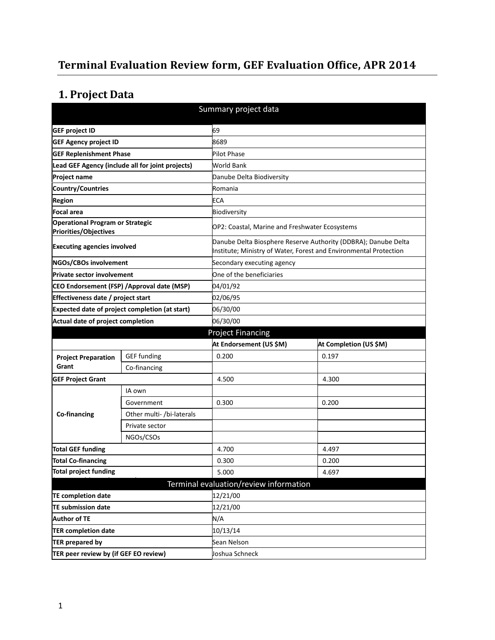# **Terminal Evaluation Review form, GEF Evaluation Office, APR 2014**

# **1. Project Data**

| Summary project data                                             |                                                  |                                                |                                                                                                                                     |  |
|------------------------------------------------------------------|--------------------------------------------------|------------------------------------------------|-------------------------------------------------------------------------------------------------------------------------------------|--|
| <b>GEF project ID</b>                                            | 69                                               |                                                |                                                                                                                                     |  |
| <b>GEF Agency project ID</b>                                     |                                                  | 8689                                           |                                                                                                                                     |  |
| <b>GEF Replenishment Phase</b>                                   |                                                  | Pilot Phase                                    |                                                                                                                                     |  |
|                                                                  | Lead GEF Agency (include all for joint projects) | World Bank                                     |                                                                                                                                     |  |
| <b>Project name</b>                                              |                                                  | Danube Delta Biodiversity                      |                                                                                                                                     |  |
| Country/Countries                                                |                                                  | Romania                                        |                                                                                                                                     |  |
| <b>Region</b>                                                    |                                                  | ECA                                            |                                                                                                                                     |  |
| Focal area                                                       |                                                  | Biodiversity                                   |                                                                                                                                     |  |
| <b>Operational Program or Strategic</b><br>Priorities/Objectives |                                                  | OP2: Coastal, Marine and Freshwater Ecosystems |                                                                                                                                     |  |
| <b>Executing agencies involved</b>                               |                                                  |                                                | Danube Delta Biosphere Reserve Authority (DDBRA); Danube Delta<br>Institute; Ministry of Water, Forest and Environmental Protection |  |
| NGOs/CBOs involvement                                            |                                                  | Secondary executing agency                     |                                                                                                                                     |  |
| <b>Private sector involvement</b>                                |                                                  | One of the beneficiaries                       |                                                                                                                                     |  |
|                                                                  | CEO Endorsement (FSP) / Approval date (MSP)      | 04/01/92                                       |                                                                                                                                     |  |
| Effectiveness date / project start                               |                                                  | 02/06/95                                       |                                                                                                                                     |  |
| Expected date of project completion (at start)                   |                                                  | 06/30/00                                       |                                                                                                                                     |  |
| Actual date of project completion                                |                                                  | 06/30/00                                       |                                                                                                                                     |  |
|                                                                  |                                                  | <b>Project Financing</b>                       |                                                                                                                                     |  |
|                                                                  |                                                  | At Endorsement (US \$M)                        | At Completion (US \$M)                                                                                                              |  |
| <b>Project Preparation</b>                                       | <b>GEF</b> funding                               | 0.200                                          | 0.197                                                                                                                               |  |
| Grant                                                            |                                                  |                                                |                                                                                                                                     |  |
|                                                                  | Co-financing                                     |                                                |                                                                                                                                     |  |
| <b>GEF Project Grant</b>                                         |                                                  | 4.500                                          | 4.300                                                                                                                               |  |
|                                                                  | IA own                                           |                                                |                                                                                                                                     |  |
|                                                                  | Government                                       | 0.300                                          | 0.200                                                                                                                               |  |
| <b>Co-financing</b>                                              | Other multi- /bi-laterals                        |                                                |                                                                                                                                     |  |
|                                                                  | Private sector                                   |                                                |                                                                                                                                     |  |
|                                                                  | NGOs/CSOs                                        |                                                |                                                                                                                                     |  |
| <b>Total GEF funding</b>                                         |                                                  | 4.700                                          | 4.497                                                                                                                               |  |
| <b>Total Co-financing</b>                                        |                                                  | 0.300                                          | 0.200                                                                                                                               |  |
| Total project funding                                            |                                                  | 5.000                                          | 4.697                                                                                                                               |  |
|                                                                  |                                                  | Terminal evaluation/review information         |                                                                                                                                     |  |
| <b>TE completion date</b>                                        |                                                  | 12/21/00                                       |                                                                                                                                     |  |
| <b>TE submission date</b>                                        |                                                  | 12/21/00                                       |                                                                                                                                     |  |
| <b>Author of TE</b>                                              |                                                  | N/A                                            |                                                                                                                                     |  |
| <b>TER completion date</b>                                       |                                                  | 10/13/14                                       |                                                                                                                                     |  |
| <b>TER prepared by</b>                                           |                                                  | Sean Nelson                                    |                                                                                                                                     |  |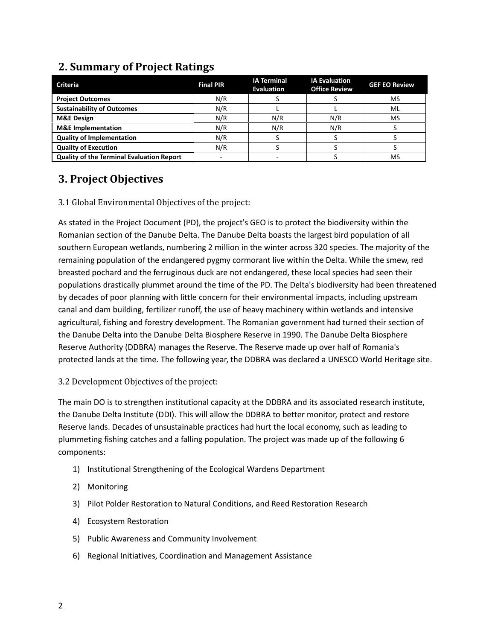| <b>Criteria</b>                                  | <b>Final PIR</b> | <b>IA Terminal</b><br><b>Evaluation</b> | <b>IA Evaluation</b><br><b>Office Review</b> | <b>GEF EO Review</b> |
|--------------------------------------------------|------------------|-----------------------------------------|----------------------------------------------|----------------------|
| <b>Project Outcomes</b>                          | N/R              |                                         |                                              | <b>MS</b>            |
| <b>Sustainability of Outcomes</b>                | N/R              |                                         |                                              | ML                   |
| <b>M&amp;E Design</b>                            | N/R              | N/R                                     | N/R                                          | <b>MS</b>            |
| <b>M&amp;E</b> Implementation                    | N/R              | N/R                                     | N/R                                          |                      |
| <b>Quality of Implementation</b>                 | N/R              |                                         |                                              |                      |
| <b>Quality of Execution</b>                      | N/R              |                                         |                                              |                      |
| <b>Quality of the Terminal Evaluation Report</b> |                  |                                         |                                              | <b>MS</b>            |

# **2. Summary of Project Ratings**

# **3. Project Objectives**

## 3.1 Global Environmental Objectives of the project:

As stated in the Project Document (PD), the project's GEO is to protect the biodiversity within the Romanian section of the Danube Delta. The Danube Delta boasts the largest bird population of all southern European wetlands, numbering 2 million in the winter across 320 species. The majority of the remaining population of the endangered pygmy cormorant live within the Delta. While the smew, red breasted pochard and the ferruginous duck are not endangered, these local species had seen their populations drastically plummet around the time of the PD. The Delta's biodiversity had been threatened by decades of poor planning with little concern for their environmental impacts, including upstream canal and dam building, fertilizer runoff, the use of heavy machinery within wetlands and intensive agricultural, fishing and forestry development. The Romanian government had turned their section of the Danube Delta into the Danube Delta Biosphere Reserve in 1990. The Danube Delta Biosphere Reserve Authority (DDBRA) manages the Reserve. The Reserve made up over half of Romania's protected lands at the time. The following year, the DDBRA was declared a UNESCO World Heritage site.

3.2 Development Objectives of the project:

The main DO is to strengthen institutional capacity at the DDBRA and its associated research institute, the Danube Delta Institute (DDI). This will allow the DDBRA to better monitor, protect and restore Reserve lands. Decades of unsustainable practices had hurt the local economy, such as leading to plummeting fishing catches and a falling population. The project was made up of the following 6 components:

- 1) Institutional Strengthening of the Ecological Wardens Department
- 2) Monitoring
- 3) Pilot Polder Restoration to Natural Conditions, and Reed Restoration Research
- 4) Ecosystem Restoration
- 5) Public Awareness and Community Involvement
- 6) Regional Initiatives, Coordination and Management Assistance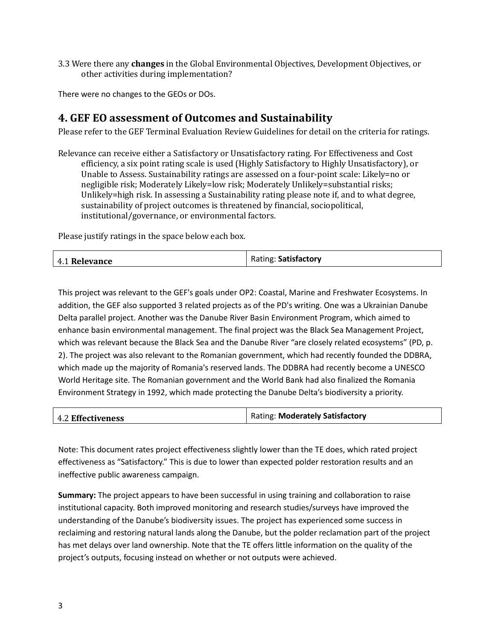3.3 Were there any **changes** in the Global Environmental Objectives, Development Objectives, or other activities during implementation?

There were no changes to the GEOs or DOs.

# **4. GEF EO assessment of Outcomes and Sustainability**

Please refer to the GEF Terminal Evaluation Review Guidelines for detail on the criteria for ratings.

Relevance can receive either a Satisfactory or Unsatisfactory rating. For Effectiveness and Cost efficiency, a six point rating scale is used (Highly Satisfactory to Highly Unsatisfactory), or Unable to Assess. Sustainability ratings are assessed on a four-point scale: Likely=no or negligible risk; Moderately Likely=low risk; Moderately Unlikely=substantial risks; Unlikely=high risk. In assessing a Sustainability rating please note if, and to what degree, sustainability of project outcomes is threatened by financial, sociopolitical, institutional/governance, or environmental factors.

Please justify ratings in the space below each box.

|  | 4.1 Relevance | Rating: Satisfactory |
|--|---------------|----------------------|
|--|---------------|----------------------|

This project was relevant to the GEF's goals under OP2: Coastal, Marine and Freshwater Ecosystems. In addition, the GEF also supported 3 related projects as of the PD's writing. One was a Ukrainian Danube Delta parallel project. Another was the Danube River Basin Environment Program, which aimed to enhance basin environmental management. The final project was the Black Sea Management Project, which was relevant because the Black Sea and the Danube River "are closely related ecosystems" (PD, p. 2). The project was also relevant to the Romanian government, which had recently founded the DDBRA, which made up the majority of Romania's reserved lands. The DDBRA had recently become a UNESCO World Heritage site. The Romanian government and the World Bank had also finalized the Romania Environment Strategy in 1992, which made protecting the Danube Delta's biodiversity a priority.

| <b>4.2 Effectiveness</b> | <b>Rating: Moderately Satisfactory</b> |
|--------------------------|----------------------------------------|
|                          |                                        |

Note: This document rates project effectiveness slightly lower than the TE does, which rated project effectiveness as "Satisfactory." This is due to lower than expected polder restoration results and an ineffective public awareness campaign.

**Summary:** The project appears to have been successful in using training and collaboration to raise institutional capacity. Both improved monitoring and research studies/surveys have improved the understanding of the Danube's biodiversity issues. The project has experienced some success in reclaiming and restoring natural lands along the Danube, but the polder reclamation part of the project has met delays over land ownership. Note that the TE offers little information on the quality of the project's outputs, focusing instead on whether or not outputs were achieved.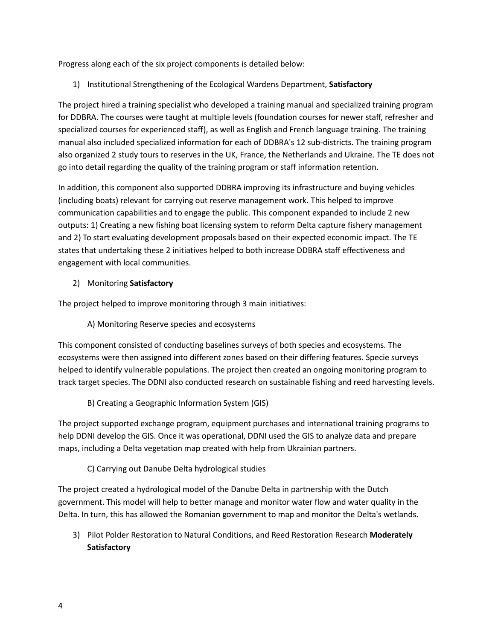Progress along each of the six project components is detailed below:

1) Institutional Strengthening of the Ecological Wardens Department, **Satisfactory**

The project hired a training specialist who developed a training manual and specialized training program for DDBRA. The courses were taught at multiple levels (foundation courses for newer staff, refresher and specialized courses for experienced staff), as well as English and French language training. The training manual also included specialized information for each of DDBRA's 12 sub-districts. The training program also organized 2 study tours to reserves in the UK, France, the Netherlands and Ukraine. The TE does not go into detail regarding the quality of the training program or staff information retention.

In addition, this component also supported DDBRA improving its infrastructure and buying vehicles (including boats) relevant for carrying out reserve management work. This helped to improve communication capabilities and to engage the public. This component expanded to include 2 new outputs: 1) Creating a new fishing boat licensing system to reform Delta capture fishery management and 2) To start evaluating development proposals based on their expected economic impact. The TE states that undertaking these 2 initiatives helped to both increase DDBRA staff effectiveness and engagement with local communities.

### 2) Monitoring **Satisfactory**

The project helped to improve monitoring through 3 main initiatives:

### A) Monitoring Reserve species and ecosystems

This component consisted of conducting baselines surveys of both species and ecosystems. The ecosystems were then assigned into different zones based on their differing features. Specie surveys helped to identify vulnerable populations. The project then created an ongoing monitoring program to track target species. The DDNI also conducted research on sustainable fishing and reed harvesting levels.

### B) Creating a Geographic Information System (GIS)

The project supported exchange program, equipment purchases and international training programs to help DDNI develop the GIS. Once it was operational, DDNI used the GIS to analyze data and prepare maps, including a Delta vegetation map created with help from Ukrainian partners.

### C) Carrying out Danube Delta hydrological studies

The project created a hydrological model of the Danube Delta in partnership with the Dutch government. This model will help to better manage and monitor water flow and water quality in the Delta. In turn, this has allowed the Romanian government to map and monitor the Delta's wetlands.

3) Pilot Polder Restoration to Natural Conditions, and Reed Restoration Research **Moderately Satisfactory**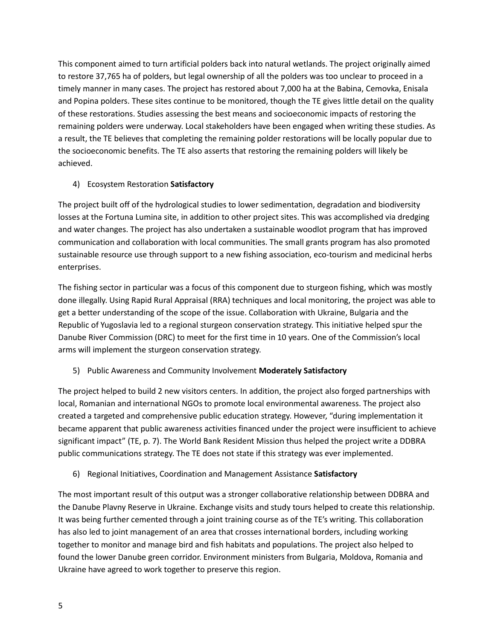This component aimed to turn artificial polders back into natural wetlands. The project originally aimed to restore 37,765 ha of polders, but legal ownership of all the polders was too unclear to proceed in a timely manner in many cases. The project has restored about 7,000 ha at the Babina, Cemovka, Enisala and Popina polders. These sites continue to be monitored, though the TE gives little detail on the quality of these restorations. Studies assessing the best means and socioeconomic impacts of restoring the remaining polders were underway. Local stakeholders have been engaged when writing these studies. As a result, the TE believes that completing the remaining polder restorations will be locally popular due to the socioeconomic benefits. The TE also asserts that restoring the remaining polders will likely be achieved.

### 4) Ecosystem Restoration **Satisfactory**

The project built off of the hydrological studies to lower sedimentation, degradation and biodiversity losses at the Fortuna Lumina site, in addition to other project sites. This was accomplished via dredging and water changes. The project has also undertaken a sustainable woodlot program that has improved communication and collaboration with local communities. The small grants program has also promoted sustainable resource use through support to a new fishing association, eco-tourism and medicinal herbs enterprises.

The fishing sector in particular was a focus of this component due to sturgeon fishing, which was mostly done illegally. Using Rapid Rural Appraisal (RRA) techniques and local monitoring, the project was able to get a better understanding of the scope of the issue. Collaboration with Ukraine, Bulgaria and the Republic of Yugoslavia led to a regional sturgeon conservation strategy. This initiative helped spur the Danube River Commission (DRC) to meet for the first time in 10 years. One of the Commission's local arms will implement the sturgeon conservation strategy.

## 5) Public Awareness and Community Involvement **Moderately Satisfactory**

The project helped to build 2 new visitors centers. In addition, the project also forged partnerships with local, Romanian and international NGOs to promote local environmental awareness. The project also created a targeted and comprehensive public education strategy. However, "during implementation it became apparent that public awareness activities financed under the project were insufficient to achieve significant impact" (TE, p. 7). The World Bank Resident Mission thus helped the project write a DDBRA public communications strategy. The TE does not state if this strategy was ever implemented.

## 6) Regional Initiatives, Coordination and Management Assistance **Satisfactory**

The most important result of this output was a stronger collaborative relationship between DDBRA and the Danube Plavny Reserve in Ukraine. Exchange visits and study tours helped to create this relationship. It was being further cemented through a joint training course as of the TE's writing. This collaboration has also led to joint management of an area that crosses international borders, including working together to monitor and manage bird and fish habitats and populations. The project also helped to found the lower Danube green corridor. Environment ministers from Bulgaria, Moldova, Romania and Ukraine have agreed to work together to preserve this region.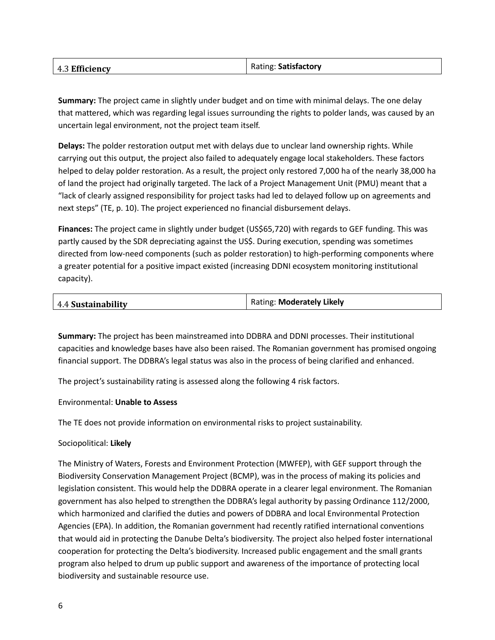| 4.3 Efficiency | Rating: Satisfactory |
|----------------|----------------------|
|                |                      |

**Summary:** The project came in slightly under budget and on time with minimal delays. The one delay that mattered, which was regarding legal issues surrounding the rights to polder lands, was caused by an uncertain legal environment, not the project team itself.

**Delays:** The polder restoration output met with delays due to unclear land ownership rights. While carrying out this output, the project also failed to adequately engage local stakeholders. These factors helped to delay polder restoration. As a result, the project only restored 7,000 ha of the nearly 38,000 ha of land the project had originally targeted. The lack of a Project Management Unit (PMU) meant that a "lack of clearly assigned responsibility for project tasks had led to delayed follow up on agreements and next steps" (TE, p. 10). The project experienced no financial disbursement delays.

**Finances:** The project came in slightly under budget (US\$65,720) with regards to GEF funding. This was partly caused by the SDR depreciating against the US\$. During execution, spending was sometimes directed from low-need components (such as polder restoration) to high-performing components where a greater potential for a positive impact existed (increasing DDNI ecosystem monitoring institutional capacity).

| 4.4 Sustainability | Rating: Moderately Likely |
|--------------------|---------------------------|
|                    |                           |

**Summary:** The project has been mainstreamed into DDBRA and DDNI processes. Their institutional capacities and knowledge bases have also been raised. The Romanian government has promised ongoing financial support. The DDBRA's legal status was also in the process of being clarified and enhanced.

The project's sustainability rating is assessed along the following 4 risk factors.

#### Environmental: **Unable to Assess**

The TE does not provide information on environmental risks to project sustainability.

#### Sociopolitical: **Likely**

The Ministry of Waters, Forests and Environment Protection (MWFEP), with GEF support through the Biodiversity Conservation Management Project (BCMP), was in the process of making its policies and legislation consistent. This would help the DDBRA operate in a clearer legal environment. The Romanian government has also helped to strengthen the DDBRA's legal authority by passing Ordinance 112/2000, which harmonized and clarified the duties and powers of DDBRA and local Environmental Protection Agencies (EPA). In addition, the Romanian government had recently ratified international conventions that would aid in protecting the Danube Delta's biodiversity. The project also helped foster international cooperation for protecting the Delta's biodiversity. Increased public engagement and the small grants program also helped to drum up public support and awareness of the importance of protecting local biodiversity and sustainable resource use.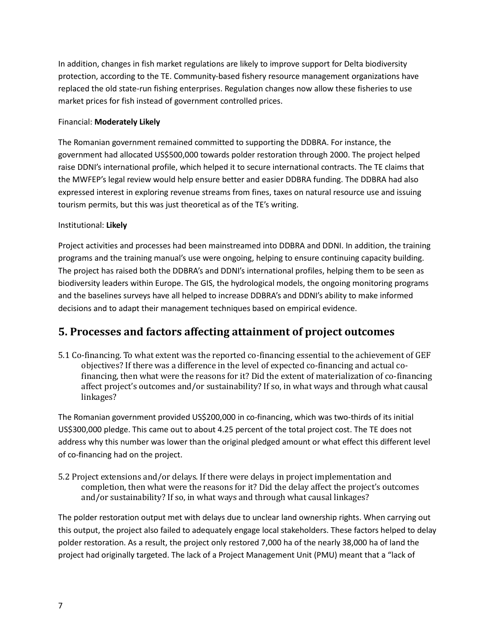In addition, changes in fish market regulations are likely to improve support for Delta biodiversity protection, according to the TE. Community-based fishery resource management organizations have replaced the old state-run fishing enterprises. Regulation changes now allow these fisheries to use market prices for fish instead of government controlled prices.

### Financial: **Moderately Likely**

The Romanian government remained committed to supporting the DDBRA. For instance, the government had allocated US\$500,000 towards polder restoration through 2000. The project helped raise DDNI's international profile, which helped it to secure international contracts. The TE claims that the MWFEP's legal review would help ensure better and easier DDBRA funding. The DDBRA had also expressed interest in exploring revenue streams from fines, taxes on natural resource use and issuing tourism permits, but this was just theoretical as of the TE's writing.

### Institutional: **Likely**

Project activities and processes had been mainstreamed into DDBRA and DDNI. In addition, the training programs and the training manual's use were ongoing, helping to ensure continuing capacity building. The project has raised both the DDBRA's and DDNI's international profiles, helping them to be seen as biodiversity leaders within Europe. The GIS, the hydrological models, the ongoing monitoring programs and the baselines surveys have all helped to increase DDBRA's and DDNI's ability to make informed decisions and to adapt their management techniques based on empirical evidence.

# **5. Processes and factors affecting attainment of project outcomes**

5.1 Co-financing. To what extent was the reported co-financing essential to the achievement of GEF objectives? If there was a difference in the level of expected co-financing and actual cofinancing, then what were the reasons for it? Did the extent of materialization of co-financing affect project's outcomes and/or sustainability? If so, in what ways and through what causal linkages?

The Romanian government provided US\$200,000 in co-financing, which was two-thirds of its initial US\$300,000 pledge. This came out to about 4.25 percent of the total project cost. The TE does not address why this number was lower than the original pledged amount or what effect this different level of co-financing had on the project.

5.2 Project extensions and/or delays. If there were delays in project implementation and completion, then what were the reasons for it? Did the delay affect the project's outcomes and/or sustainability? If so, in what ways and through what causal linkages?

The polder restoration output met with delays due to unclear land ownership rights. When carrying out this output, the project also failed to adequately engage local stakeholders. These factors helped to delay polder restoration. As a result, the project only restored 7,000 ha of the nearly 38,000 ha of land the project had originally targeted. The lack of a Project Management Unit (PMU) meant that a "lack of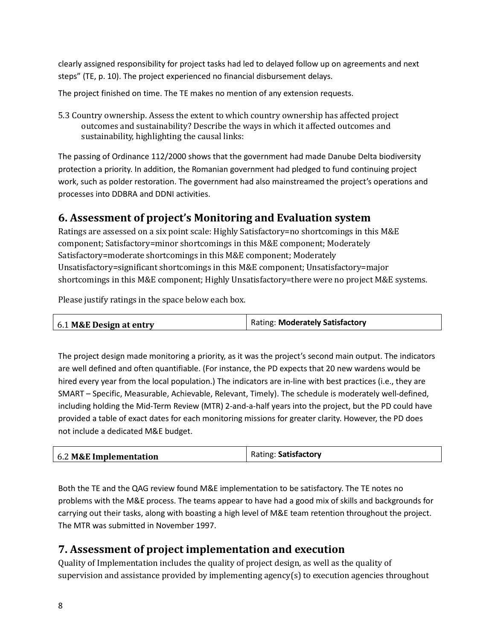clearly assigned responsibility for project tasks had led to delayed follow up on agreements and next steps" (TE, p. 10). The project experienced no financial disbursement delays.

The project finished on time. The TE makes no mention of any extension requests.

5.3 Country ownership. Assess the extent to which country ownership has affected project outcomes and sustainability? Describe the ways in which it affected outcomes and sustainability, highlighting the causal links:

The passing of Ordinance 112/2000 shows that the government had made Danube Delta biodiversity protection a priority. In addition, the Romanian government had pledged to fund continuing project work, such as polder restoration. The government had also mainstreamed the project's operations and processes into DDBRA and DDNI activities.

# **6. Assessment of project's Monitoring and Evaluation system**

Ratings are assessed on a six point scale: Highly Satisfactory=no shortcomings in this M&E component; Satisfactory=minor shortcomings in this M&E component; Moderately Satisfactory=moderate shortcomings in this M&E component; Moderately Unsatisfactory=significant shortcomings in this M&E component; Unsatisfactory=major shortcomings in this M&E component; Highly Unsatisfactory=there were no project M&E systems.

Please justify ratings in the space below each box.

| 6.1 M&E Design at entry | <b>Rating: Moderately Satisfactory</b> |
|-------------------------|----------------------------------------|
|                         |                                        |

The project design made monitoring a priority, as it was the project's second main output. The indicators are well defined and often quantifiable. (For instance, the PD expects that 20 new wardens would be hired every year from the local population.) The indicators are in-line with best practices (i.e., they are SMART – Specific, Measurable, Achievable, Relevant, Timely). The schedule is moderately well-defined, including holding the Mid-Term Review (MTR) 2-and-a-half years into the project, but the PD could have provided a table of exact dates for each monitoring missions for greater clarity. However, the PD does not include a dedicated M&E budget.

| 6.2 M&E Implementation | Rating: Satisfactory |
|------------------------|----------------------|
|                        |                      |

Both the TE and the QAG review found M&E implementation to be satisfactory. The TE notes no problems with the M&E process. The teams appear to have had a good mix of skills and backgrounds for carrying out their tasks, along with boasting a high level of M&E team retention throughout the project. The MTR was submitted in November 1997.

# **7. Assessment of project implementation and execution**

Quality of Implementation includes the quality of project design, as well as the quality of supervision and assistance provided by implementing agency(s) to execution agencies throughout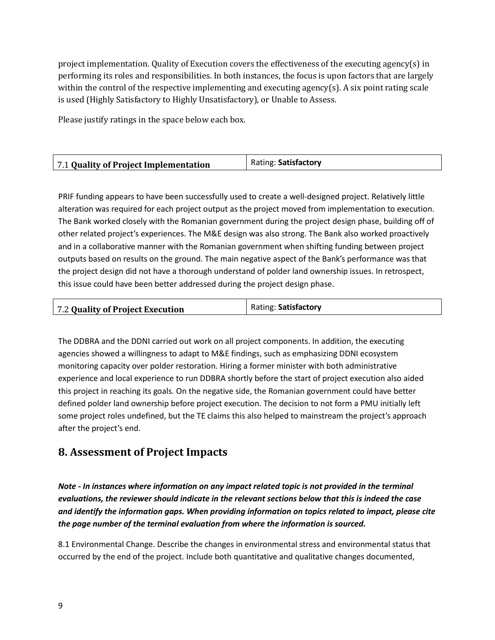project implementation. Quality of Execution covers the effectiveness of the executing agency(s) in performing its roles and responsibilities. In both instances, the focus is upon factors that are largely within the control of the respective implementing and executing agency(s). A six point rating scale is used (Highly Satisfactory to Highly Unsatisfactory), or Unable to Assess.

Please justify ratings in the space below each box.

| 7.1 Quality of Project Implementation | Rating: Satisfactory |
|---------------------------------------|----------------------|
|                                       |                      |

PRIF funding appears to have been successfully used to create a well-designed project. Relatively little alteration was required for each project output as the project moved from implementation to execution. The Bank worked closely with the Romanian government during the project design phase, building off of other related project's experiences. The M&E design was also strong. The Bank also worked proactively and in a collaborative manner with the Romanian government when shifting funding between project outputs based on results on the ground. The main negative aspect of the Bank's performance was that the project design did not have a thorough understand of polder land ownership issues. In retrospect, this issue could have been better addressed during the project design phase.

| 7.2 Quality of Project Execution | Rating: Satisfactory |
|----------------------------------|----------------------|
|                                  |                      |

The DDBRA and the DDNI carried out work on all project components. In addition, the executing agencies showed a willingness to adapt to M&E findings, such as emphasizing DDNI ecosystem monitoring capacity over polder restoration. Hiring a former minister with both administrative experience and local experience to run DDBRA shortly before the start of project execution also aided this project in reaching its goals. On the negative side, the Romanian government could have better defined polder land ownership before project execution. The decision to not form a PMU initially left some project roles undefined, but the TE claims this also helped to mainstream the project's approach after the project's end.

# **8. Assessment of Project Impacts**

*Note - In instances where information on any impact related topic is not provided in the terminal evaluations, the reviewer should indicate in the relevant sections below that this is indeed the case and identify the information gaps. When providing information on topics related to impact, please cite the page number of the terminal evaluation from where the information is sourced.*

8.1 Environmental Change. Describe the changes in environmental stress and environmental status that occurred by the end of the project. Include both quantitative and qualitative changes documented,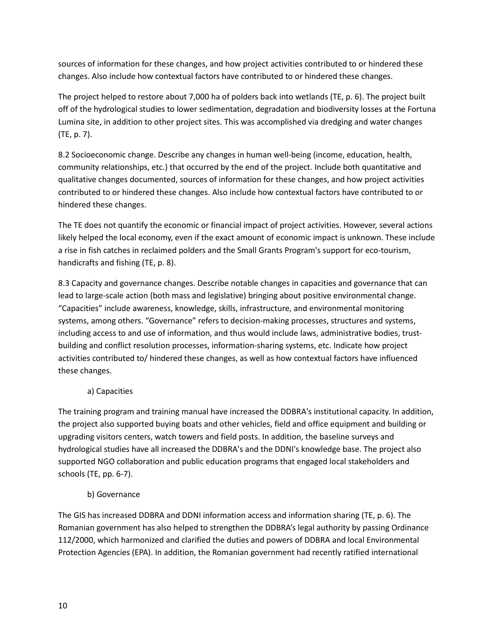sources of information for these changes, and how project activities contributed to or hindered these changes. Also include how contextual factors have contributed to or hindered these changes.

The project helped to restore about 7,000 ha of polders back into wetlands (TE, p. 6). The project built off of the hydrological studies to lower sedimentation, degradation and biodiversity losses at the Fortuna Lumina site, in addition to other project sites. This was accomplished via dredging and water changes (TE, p. 7).

8.2 Socioeconomic change. Describe any changes in human well-being (income, education, health, community relationships, etc.) that occurred by the end of the project. Include both quantitative and qualitative changes documented, sources of information for these changes, and how project activities contributed to or hindered these changes. Also include how contextual factors have contributed to or hindered these changes.

The TE does not quantify the economic or financial impact of project activities. However, several actions likely helped the local economy, even if the exact amount of economic impact is unknown. These include a rise in fish catches in reclaimed polders and the Small Grants Program's support for eco-tourism, handicrafts and fishing (TE, p. 8).

8.3 Capacity and governance changes. Describe notable changes in capacities and governance that can lead to large-scale action (both mass and legislative) bringing about positive environmental change. "Capacities" include awareness, knowledge, skills, infrastructure, and environmental monitoring systems, among others. "Governance" refers to decision-making processes, structures and systems, including access to and use of information, and thus would include laws, administrative bodies, trustbuilding and conflict resolution processes, information-sharing systems, etc. Indicate how project activities contributed to/ hindered these changes, as well as how contextual factors have influenced these changes.

## a) Capacities

The training program and training manual have increased the DDBRA's institutional capacity. In addition, the project also supported buying boats and other vehicles, field and office equipment and building or upgrading visitors centers, watch towers and field posts. In addition, the baseline surveys and hydrological studies have all increased the DDBRA's and the DDNI's knowledge base. The project also supported NGO collaboration and public education programs that engaged local stakeholders and schools (TE, pp. 6-7).

### b) Governance

The GIS has increased DDBRA and DDNI information access and information sharing (TE, p. 6). The Romanian government has also helped to strengthen the DDBRA's legal authority by passing Ordinance 112/2000, which harmonized and clarified the duties and powers of DDBRA and local Environmental Protection Agencies (EPA). In addition, the Romanian government had recently ratified international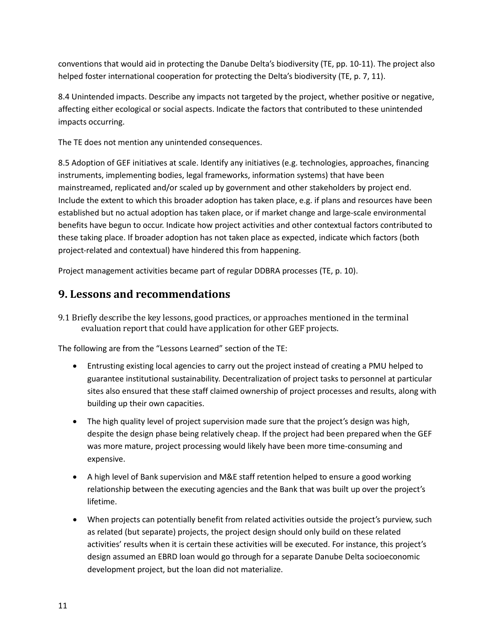conventions that would aid in protecting the Danube Delta's biodiversity (TE, pp. 10-11). The project also helped foster international cooperation for protecting the Delta's biodiversity (TE, p. 7, 11).

8.4 Unintended impacts. Describe any impacts not targeted by the project, whether positive or negative, affecting either ecological or social aspects. Indicate the factors that contributed to these unintended impacts occurring.

The TE does not mention any unintended consequences.

8.5 Adoption of GEF initiatives at scale. Identify any initiatives (e.g. technologies, approaches, financing instruments, implementing bodies, legal frameworks, information systems) that have been mainstreamed, replicated and/or scaled up by government and other stakeholders by project end. Include the extent to which this broader adoption has taken place, e.g. if plans and resources have been established but no actual adoption has taken place, or if market change and large-scale environmental benefits have begun to occur. Indicate how project activities and other contextual factors contributed to these taking place. If broader adoption has not taken place as expected, indicate which factors (both project-related and contextual) have hindered this from happening.

Project management activities became part of regular DDBRA processes (TE, p. 10).

# **9. Lessons and recommendations**

9.1 Briefly describe the key lessons, good practices, or approaches mentioned in the terminal evaluation report that could have application for other GEF projects.

The following are from the "Lessons Learned" section of the TE:

- Entrusting existing local agencies to carry out the project instead of creating a PMU helped to guarantee institutional sustainability. Decentralization of project tasks to personnel at particular sites also ensured that these staff claimed ownership of project processes and results, along with building up their own capacities.
- The high quality level of project supervision made sure that the project's design was high, despite the design phase being relatively cheap. If the project had been prepared when the GEF was more mature, project processing would likely have been more time-consuming and expensive.
- A high level of Bank supervision and M&E staff retention helped to ensure a good working relationship between the executing agencies and the Bank that was built up over the project's lifetime.
- When projects can potentially benefit from related activities outside the project's purview, such as related (but separate) projects, the project design should only build on these related activities' results when it is certain these activities will be executed. For instance, this project's design assumed an EBRD loan would go through for a separate Danube Delta socioeconomic development project, but the loan did not materialize.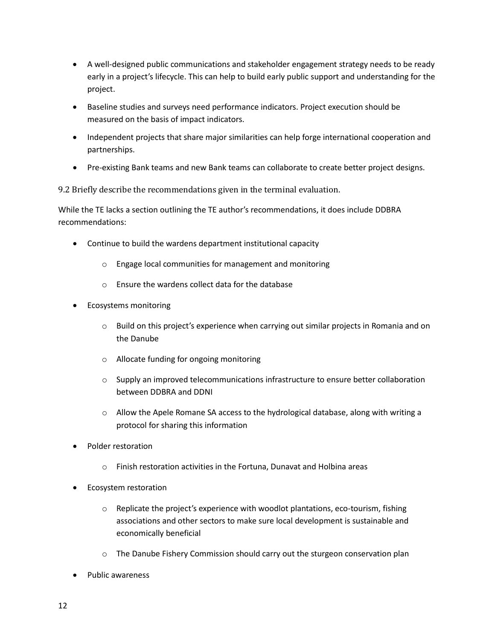- A well-designed public communications and stakeholder engagement strategy needs to be ready early in a project's lifecycle. This can help to build early public support and understanding for the project.
- Baseline studies and surveys need performance indicators. Project execution should be measured on the basis of impact indicators.
- Independent projects that share major similarities can help forge international cooperation and partnerships.
- Pre-existing Bank teams and new Bank teams can collaborate to create better project designs.

9.2 Briefly describe the recommendations given in the terminal evaluation.

While the TE lacks a section outlining the TE author's recommendations, it does include DDBRA recommendations:

- Continue to build the wardens department institutional capacity
	- o Engage local communities for management and monitoring
	- o Ensure the wardens collect data for the database
- Ecosystems monitoring
	- $\circ$  Build on this project's experience when carrying out similar projects in Romania and on the Danube
	- o Allocate funding for ongoing monitoring
	- $\circ$  Supply an improved telecommunications infrastructure to ensure better collaboration between DDBRA and DDNI
	- $\circ$  Allow the Apele Romane SA access to the hydrological database, along with writing a protocol for sharing this information
- Polder restoration
	- o Finish restoration activities in the Fortuna, Dunavat and Holbina areas
- Ecosystem restoration
	- $\circ$  Replicate the project's experience with woodlot plantations, eco-tourism, fishing associations and other sectors to make sure local development is sustainable and economically beneficial
	- $\circ$  The Danube Fishery Commission should carry out the sturgeon conservation plan
- Public awareness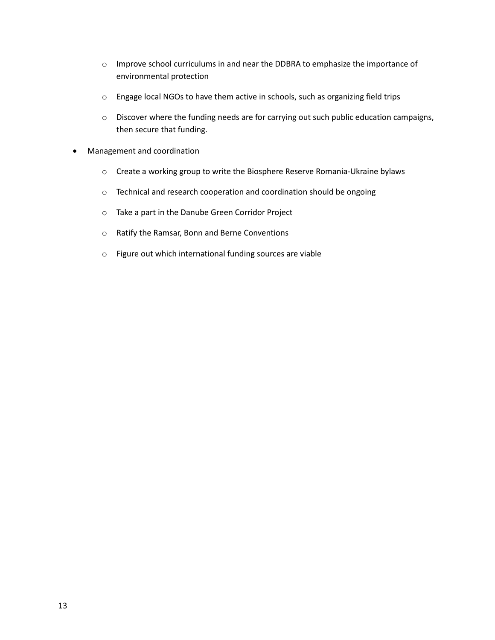- o Improve school curriculums in and near the DDBRA to emphasize the importance of environmental protection
- o Engage local NGOs to have them active in schools, such as organizing field trips
- o Discover where the funding needs are for carrying out such public education campaigns, then secure that funding.
- Management and coordination
	- o Create a working group to write the Biosphere Reserve Romania-Ukraine bylaws
	- o Technical and research cooperation and coordination should be ongoing
	- o Take a part in the Danube Green Corridor Project
	- o Ratify the Ramsar, Bonn and Berne Conventions
	- o Figure out which international funding sources are viable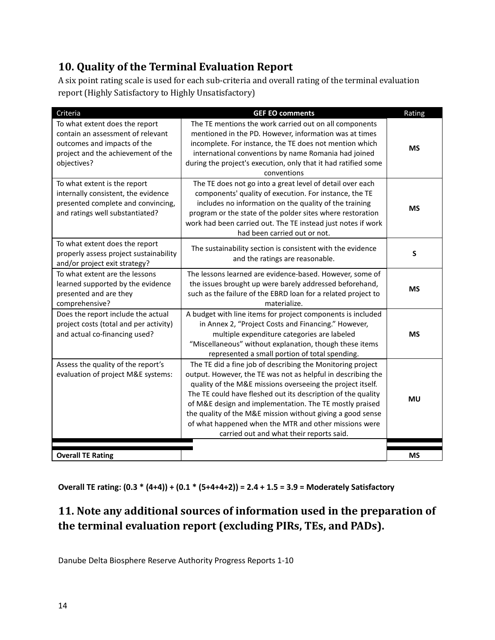# **10. Quality of the Terminal Evaluation Report**

A six point rating scale is used for each sub-criteria and overall rating of the terminal evaluation report (Highly Satisfactory to Highly Unsatisfactory)

| Criteria                                                                                                                                                | <b>GEF EO comments</b>                                                                                                                                                                                                                                                                                                                                                                                                                                                                 | Rating    |
|---------------------------------------------------------------------------------------------------------------------------------------------------------|----------------------------------------------------------------------------------------------------------------------------------------------------------------------------------------------------------------------------------------------------------------------------------------------------------------------------------------------------------------------------------------------------------------------------------------------------------------------------------------|-----------|
| To what extent does the report<br>contain an assessment of relevant<br>outcomes and impacts of the<br>project and the achievement of the<br>objectives? | The TE mentions the work carried out on all components<br>mentioned in the PD. However, information was at times<br>incomplete. For instance, the TE does not mention which<br>international conventions by name Romania had joined<br>during the project's execution, only that it had ratified some<br>conventions                                                                                                                                                                   | <b>MS</b> |
| To what extent is the report<br>internally consistent, the evidence<br>presented complete and convincing,<br>and ratings well substantiated?            | The TE does not go into a great level of detail over each<br>components' quality of execution. For instance, the TE<br>includes no information on the quality of the training<br>program or the state of the polder sites where restoration<br>work had been carried out. The TE instead just notes if work<br>had been carried out or not.                                                                                                                                            | <b>MS</b> |
| To what extent does the report<br>properly assess project sustainability<br>and/or project exit strategy?                                               | The sustainability section is consistent with the evidence<br>and the ratings are reasonable.                                                                                                                                                                                                                                                                                                                                                                                          | S         |
| To what extent are the lessons<br>learned supported by the evidence<br>presented and are they<br>comprehensive?                                         | The lessons learned are evidence-based. However, some of<br>the issues brought up were barely addressed beforehand,<br>such as the failure of the EBRD loan for a related project to<br>materialize.                                                                                                                                                                                                                                                                                   | <b>MS</b> |
| Does the report include the actual<br>project costs (total and per activity)<br>and actual co-financing used?                                           | A budget with line items for project components is included<br>in Annex 2, "Project Costs and Financing." However,<br>multiple expenditure categories are labeled<br>"Miscellaneous" without explanation, though these items<br>represented a small portion of total spending.                                                                                                                                                                                                         | <b>MS</b> |
| Assess the quality of the report's<br>evaluation of project M&E systems:                                                                                | The TE did a fine job of describing the Monitoring project<br>output. However, the TE was not as helpful in describing the<br>quality of the M&E missions overseeing the project itself.<br>The TE could have fleshed out its description of the quality<br>of M&E design and implementation. The TE mostly praised<br>the quality of the M&E mission without giving a good sense<br>of what happened when the MTR and other missions were<br>carried out and what their reports said. | <b>MU</b> |
| <b>Overall TE Rating</b>                                                                                                                                |                                                                                                                                                                                                                                                                                                                                                                                                                                                                                        | <b>MS</b> |

**Overall TE rating: (0.3 \* (4+4)) + (0.1 \* (5+4+4+2)) = 2.4 + 1.5 = 3.9 = Moderately Satisfactory**

# **11. Note any additional sources of information used in the preparation of the terminal evaluation report (excluding PIRs, TEs, and PADs).**

Danube Delta Biosphere Reserve Authority Progress Reports 1-10